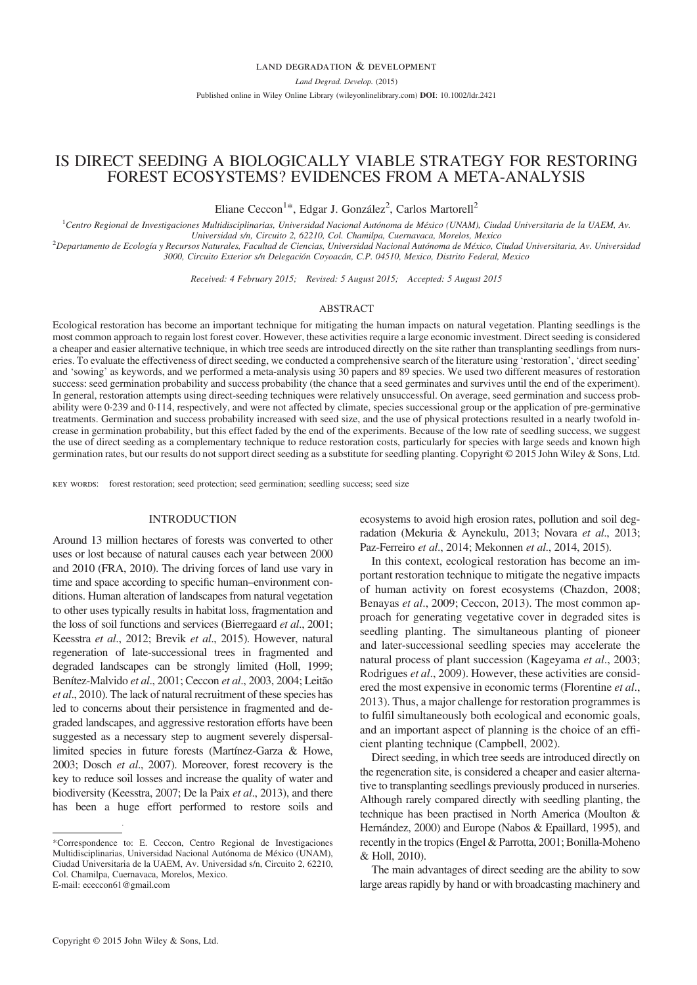# IS DIRECT SEEDING A BIOLOGICALLY VIABLE STRATEGY FOR RESTORING FOREST ECOSYSTEMS? EVIDENCES FROM A META-ANALYSIS

Eliane Ceccon<sup>1\*</sup>, Edgar J. González<sup>2</sup>, Carlos Martorell<sup>2</sup>

<sup>1</sup>Centro Regional de Investigaciones Multidisciplinarias, Universidad Nacional Autónoma de México (UNAM), Ciudad Universitaria de la UAEM, Av.

Universidad s/n, Circuito 2, 62210, Col. Chamilpa, Cuernavaca, Morelos, Mexico<br>Departamento de Ecología y Recursos Naturales, Facultad de Ciencias, Universidad Nacional Autónoma de México, Ciudad Universitaria, Av. Univers 3000, Circuito Exterior s/n Delegación Coyoacán, C.P. 04510, Mexico, Distrito Federal, Mexico

Received: 4 February 2015; Revised: 5 August 2015; Accepted: 5 August 2015

#### ABSTRACT

Ecological restoration has become an important technique for mitigating the human impacts on natural vegetation. Planting seedlings is the most common approach to regain lost forest cover. However, these activities require a large economic investment. Direct seeding is considered a cheaper and easier alternative technique, in which tree seeds are introduced directly on the site rather than transplanting seedlings from nurseries. To evaluate the effectiveness of direct seeding, we conducted a comprehensive search of the literature using 'restoration', 'direct seeding' and 'sowing' as keywords, and we performed a meta-analysis using 30 papers and 89 species. We used two different measures of restoration success: seed germination probability and success probability (the chance that a seed germinates and survives until the end of the experiment). In general, restoration attempts using direct-seeding techniques were relatively unsuccessful. On average, seed germination and success probability were 0·239 and 0·114, respectively, and were not affected by climate, species successional group or the application of pre-germinative treatments. Germination and success probability increased with seed size, and the use of physical protections resulted in a nearly twofold increase in germination probability, but this effect faded by the end of the experiments. Because of the low rate of seedling success, we suggest the use of direct seeding as a complementary technique to reduce restoration costs, particularly for species with large seeds and known high germination rates, but our results do not support direct seeding as a substitute for seedling planting. Copyright © 2015 John Wiley & Sons, Ltd.

key words: forest restoration; seed protection; seed germination; seedling success; seed size

## **INTRODUCTION**

Around 13 million hectares of forests was converted to other uses or lost because of natural causes each year between 2000 and 2010 (FRA, 2010). The driving forces of land use vary in time and space according to specific human–environment conditions. Human alteration of landscapes from natural vegetation to other uses typically results in habitat loss, fragmentation and the loss of soil functions and services (Bierregaard et al., 2001; Keesstra et al., 2012; Brevik et al., 2015). However, natural regeneration of late-successional trees in fragmented and degraded landscapes can be strongly limited (Holl, 1999; Benítez-Malvido et al., 2001; Ceccon et al., 2003, 2004; Leitão et al., 2010). The lack of natural recruitment of these species has led to concerns about their persistence in fragmented and degraded landscapes, and aggressive restoration efforts have been suggested as a necessary step to augment severely dispersallimited species in future forests (Martínez-Garza & Howe, 2003; Dosch et al., 2007). Moreover, forest recovery is the key to reduce soil losses and increase the quality of water and biodiversity (Keesstra, 2007; De la Paix et al., 2013), and there has been a huge effort performed to restore soils and ecosystems to avoid high erosion rates, pollution and soil degradation (Mekuria & Aynekulu, 2013; Novara et al., 2013; Paz-Ferreiro et al., 2014; Mekonnen et al., 2014, 2015).

In this context, ecological restoration has become an important restoration technique to mitigate the negative impacts of human activity on forest ecosystems (Chazdon, 2008; Benayas et al., 2009; Ceccon, 2013). The most common approach for generating vegetative cover in degraded sites is seedling planting. The simultaneous planting of pioneer and later-successional seedling species may accelerate the natural process of plant succession (Kageyama et al., 2003; Rodrigues et al., 2009). However, these activities are considered the most expensive in economic terms (Florentine et al., 2013). Thus, a major challenge for restoration programmes is to fulfil simultaneously both ecological and economic goals, and an important aspect of planning is the choice of an efficient planting technique (Campbell, 2002).

Direct seeding, in which tree seeds are introduced directly on the regeneration site, is considered a cheaper and easier alternative to transplanting seedlings previously produced in nurseries. Although rarely compared directly with seedling planting, the technique has been practised in North America (Moulton & Hernández, 2000) and Europe (Nabos & Epaillard, 1995), and recently in the tropics (Engel & Parrotta, 2001; Bonilla-Moheno & Holl, 2010).

The main advantages of direct seeding are the ability to sow large areas rapidly by hand or with broadcasting machinery and

<sup>\*</sup>Correspondence to: E. Ceccon, Centro Regional de Investigaciones Multidisciplinarias, Universidad Nacional Autónoma de México (UNAM), Ciudad Universitaria de la UAEM, Av. Universidad s/n, Circuito 2, 62210, Col. Chamilpa, Cuernavaca, Morelos, Mexico. E-mail: ececcon61@gmail.com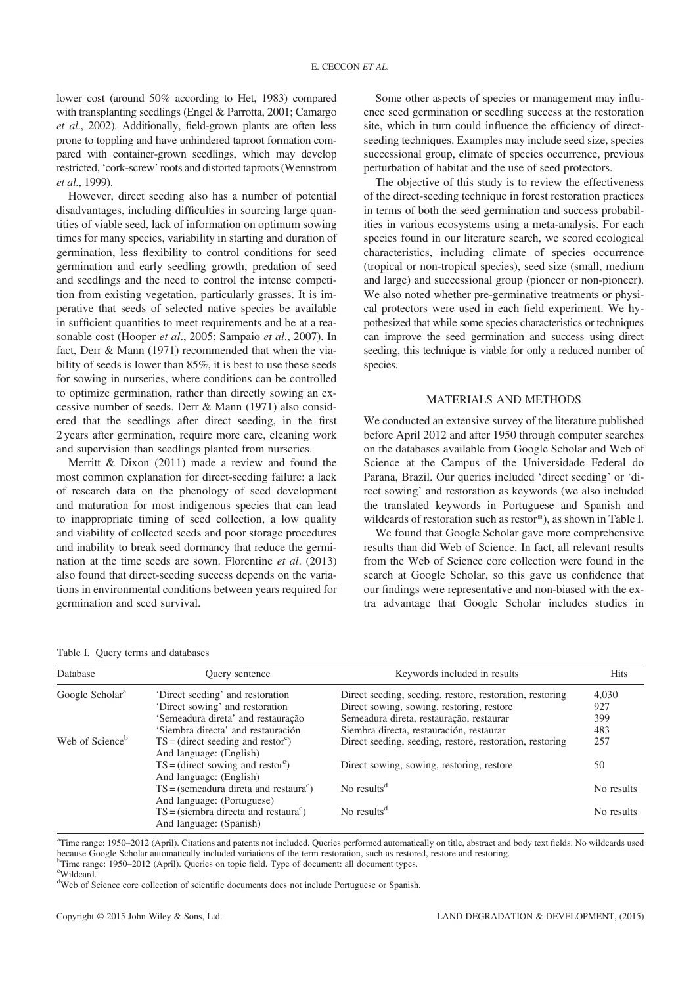lower cost (around 50% according to Het, 1983) compared with transplanting seedlings (Engel & Parrotta, 2001; Camargo et al., 2002). Additionally, field-grown plants are often less prone to toppling and have unhindered taproot formation compared with container-grown seedlings, which may develop restricted,'cork-screw'roots and distorted taproots (Wennstrom et al., 1999).

However, direct seeding also has a number of potential disadvantages, including difficulties in sourcing large quantities of viable seed, lack of information on optimum sowing times for many species, variability in starting and duration of germination, less flexibility to control conditions for seed germination and early seedling growth, predation of seed and seedlings and the need to control the intense competition from existing vegetation, particularly grasses. It is imperative that seeds of selected native species be available in sufficient quantities to meet requirements and be at a reasonable cost (Hooper et al., 2005; Sampaio et al., 2007). In fact, Derr & Mann (1971) recommended that when the viability of seeds is lower than 85%, it is best to use these seeds for sowing in nurseries, where conditions can be controlled to optimize germination, rather than directly sowing an excessive number of seeds. Derr & Mann (1971) also considered that the seedlings after direct seeding, in the first 2 years after germination, require more care, cleaning work and supervision than seedlings planted from nurseries.

Merritt & Dixon (2011) made a review and found the most common explanation for direct-seeding failure: a lack of research data on the phenology of seed development and maturation for most indigenous species that can lead to inappropriate timing of seed collection, a low quality and viability of collected seeds and poor storage procedures and inability to break seed dormancy that reduce the germination at the time seeds are sown. Florentine et al. (2013) also found that direct-seeding success depends on the variations in environmental conditions between years required for germination and seed survival.

Some other aspects of species or management may influence seed germination or seedling success at the restoration site, which in turn could influence the efficiency of directseeding techniques. Examples may include seed size, species successional group, climate of species occurrence, previous perturbation of habitat and the use of seed protectors.

The objective of this study is to review the effectiveness of the direct-seeding technique in forest restoration practices in terms of both the seed germination and success probabilities in various ecosystems using a meta-analysis. For each species found in our literature search, we scored ecological characteristics, including climate of species occurrence (tropical or non-tropical species), seed size (small, medium and large) and successional group (pioneer or non-pioneer). We also noted whether pre-germinative treatments or physical protectors were used in each field experiment. We hypothesized that while some species characteristics or techniques can improve the seed germination and success using direct seeding, this technique is viable for only a reduced number of species.

#### MATERIALS AND METHODS

We conducted an extensive survey of the literature published before April 2012 and after 1950 through computer searches on the databases available from Google Scholar and Web of Science at the Campus of the Universidade Federal do Parana, Brazil. Our queries included 'direct seeding' or 'direct sowing' and restoration as keywords (we also included the translated keywords in Portuguese and Spanish and wildcards of restoration such as restor\*), as shown in Table I.

We found that Google Scholar gave more comprehensive results than did Web of Science. In fact, all relevant results from the Web of Science core collection were found in the search at Google Scholar, so this gave us confidence that our findings were representative and non-biased with the extra advantage that Google Scholar includes studies in

Table I. Query terms and databases

| Database                    | Keywords included in results<br>Ouery sentence                                 |                                                          | <b>Hits</b> |  |
|-----------------------------|--------------------------------------------------------------------------------|----------------------------------------------------------|-------------|--|
| Google Scholar <sup>a</sup> | 'Direct seeding' and restoration                                               | Direct seeding, seeding, restore, restoration, restoring | 4,030       |  |
|                             | 'Direct sowing' and restoration                                                | Direct sowing, sowing, restoring, restore                | 927         |  |
|                             | 'Semeadura direta' and restauração                                             | Semeadura direta, restauração, restaurar                 | 399         |  |
|                             | 'Siembra directa' and restauración                                             | Siembra directa, restauración, restaurar                 | 483         |  |
| Web of Science <sup>b</sup> | $TS = (direct seeding and restore^c)$<br>And language: (English)               | Direct seeding, seeding, restore, restoration, restoring | 257         |  |
|                             | $TS = (direct)$ sowing and restor <sup>c</sup> )<br>And language: (English)    | Direct sowing, sowing, restoring, restore                | 50          |  |
|                             | $TS = (semeadura direta and restaurac)$<br>And language: (Portuguese)          | No results <sup>d</sup>                                  | No results  |  |
|                             | $TS = (siembra$ directa and restaura <sup>c</sup> )<br>And language: (Spanish) | No results <sup>d</sup>                                  | No results  |  |

<sup>a</sup>Time range: 1950–2012 (April). Citations and patents not included. Queries performed automatically on title, abstract and body text fields. No wildcards used because Google Scholar automatically included variations of the term restoration, such as restored, restore and restoring.

<sup>b</sup>Time range: 1950–2012 (April). Queries on topic field. Type of document: all document types. Wildcard.

<sup>d</sup>Web of Science core collection of scientific documents does not include Portuguese or Spanish.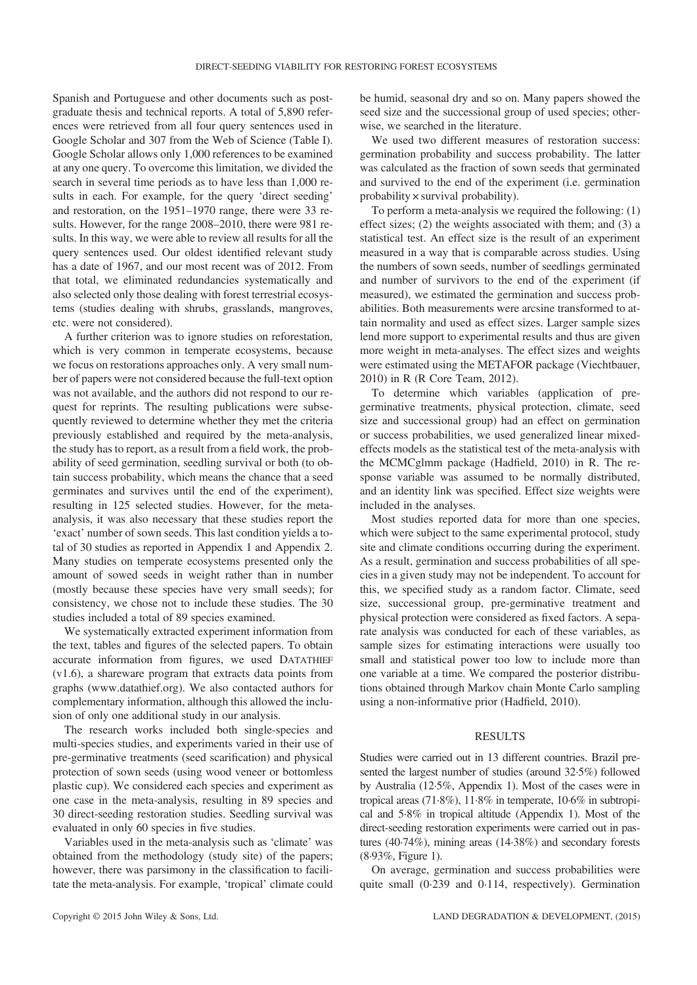Spanish and Portuguese and other documents such as postgraduate thesis and technical reports. A total of 5,890 references were retrieved from all four query sentences used in Google Scholar and 307 from the Web of Science (Table I). Google Scholar allows only 1,000 references to be examined at any one query. To overcome this limitation, we divided the search in several time periods as to have less than 1,000 results in each. For example, for the query 'direct seeding' and restoration, on the 1951–1970 range, there were 33 results. However, for the range 2008–2010, there were 981 results. In this way, we were able to review all results for all the query sentences used. Our oldest identified relevant study has a date of 1967, and our most recent was of 2012. From that total, we eliminated redundancies systematically and also selected only those dealing with forest terrestrial ecosystems (studies dealing with shrubs, grasslands, mangroves, etc. were not considered).

A further criterion was to ignore studies on reforestation, which is very common in temperate ecosystems, because we focus on restorations approaches only. A very small number of papers were not considered because the full-text option was not available, and the authors did not respond to our request for reprints. The resulting publications were subsequently reviewed to determine whether they met the criteria previously established and required by the meta-analysis, the study has to report, as a result from a field work, the probability of seed germination, seedling survival or both (to obtain success probability, which means the chance that a seed germinates and survives until the end of the experiment), resulting in 125 selected studies. However, for the metaanalysis, it was also necessary that these studies report the 'exact' number of sown seeds. This last condition yields a total of 30 studies as reported in Appendix 1 and Appendix 2. Many studies on temperate ecosystems presented only the amount of sowed seeds in weight rather than in number (mostly because these species have very small seeds); for consistency, we chose not to include these studies. The 30 studies included a total of 89 species examined.

We systematically extracted experiment information from the text, tables and figures of the selected papers. To obtain accurate information from figures, we used DATATHIEF (v1.6), a shareware program that extracts data points from graphs [\(www.datathief.org\)](http://www.datathief.org). We also contacted authors for complementary information, although this allowed the inclusion of only one additional study in our analysis.

The research works included both single-species and multi-species studies, and experiments varied in their use of pre-germinative treatments (seed scarification) and physical protection of sown seeds (using wood veneer or bottomless plastic cup). We considered each species and experiment as one case in the meta-analysis, resulting in 89 species and 30 direct-seeding restoration studies. Seedling survival was evaluated in only 60 species in five studies.

Variables used in the meta-analysis such as 'climate' was obtained from the methodology (study site) of the papers; however, there was parsimony in the classification to facilitate the meta-analysis. For example, 'tropical' climate could be humid, seasonal dry and so on. Many papers showed the seed size and the successional group of used species; otherwise, we searched in the literature.

We used two different measures of restoration success: germination probability and success probability. The latter was calculated as the fraction of sown seeds that germinated and survived to the end of the experiment (i.e. germination probability × survival probability).

To perform a meta-analysis we required the following: (1) effect sizes; (2) the weights associated with them; and (3) a statistical test. An effect size is the result of an experiment measured in a way that is comparable across studies. Using the numbers of sown seeds, number of seedlings germinated and number of survivors to the end of the experiment (if measured), we estimated the germination and success probabilities. Both measurements were arcsine transformed to attain normality and used as effect sizes. Larger sample sizes lend more support to experimental results and thus are given more weight in meta-analyses. The effect sizes and weights were estimated using the METAFOR package (Viechtbauer, 2010) in R (R Core Team, 2012).

To determine which variables (application of pregerminative treatments, physical protection, climate, seed size and successional group) had an effect on germination or success probabilities, we used generalized linear mixedeffects models as the statistical test of the meta-analysis with the MCMCglmm package (Hadfield, 2010) in R. The response variable was assumed to be normally distributed, and an identity link was specified. Effect size weights were included in the analyses.

Most studies reported data for more than one species, which were subject to the same experimental protocol, study site and climate conditions occurring during the experiment. As a result, germination and success probabilities of all species in a given study may not be independent. To account for this, we specified study as a random factor. Climate, seed size, successional group, pre-germinative treatment and physical protection were considered as fixed factors. A separate analysis was conducted for each of these variables, as sample sizes for estimating interactions were usually too small and statistical power too low to include more than one variable at a time. We compared the posterior distributions obtained through Markov chain Monte Carlo sampling using a non-informative prior (Hadfield, 2010).

## **RESULTS**

Studies were carried out in 13 different countries. Brazil presented the largest number of studies (around 32·5%) followed by Australia (12·5%, Appendix 1). Most of the cases were in tropical areas (71·8%), 11·8% in temperate, 10·6% in subtropical and 5·8% in tropical altitude (Appendix 1). Most of the direct-seeding restoration experiments were carried out in pastures (40·74%), mining areas (14·38%) and secondary forests (8·93%, Figure 1).

On average, germination and success probabilities were quite small (0·239 and 0·114, respectively). Germination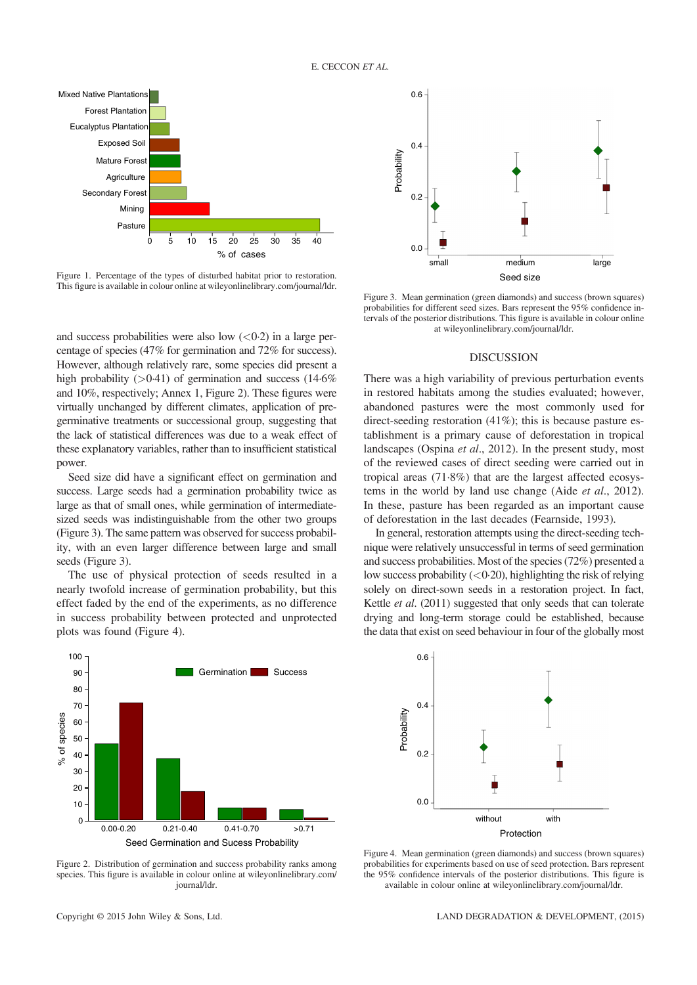

Figure 1. Percentage of the types of disturbed habitat prior to restoration. This figure is available in colour online at wileyonlinelibrary.com/journal/ldr.

and success probabilities were also low  $(<0.2$ ) in a large percentage of species (47% for germination and 72% for success). However, although relatively rare, some species did present a high probability  $(>0.41)$  of germination and success  $(14.6\%$ and 10%, respectively; Annex 1, Figure 2). These figures were virtually unchanged by different climates, application of pregerminative treatments or successional group, suggesting that the lack of statistical differences was due to a weak effect of these explanatory variables, rather than to insufficient statistical power.

Seed size did have a significant effect on germination and success. Large seeds had a germination probability twice as large as that of small ones, while germination of intermediatesized seeds was indistinguishable from the other two groups (Figure 3). The same pattern was observed for success probability, with an even larger difference between large and small seeds (Figure 3).

The use of physical protection of seeds resulted in a nearly twofold increase of germination probability, but this effect faded by the end of the experiments, as no difference in success probability between protected and unprotected plots was found (Figure 4).



Figure 2. Distribution of germination and success probability ranks among species. This figure is available in colour online at wileyonlinelibrary.com/ journal/ldr.



Figure 3. Mean germination (green diamonds) and success (brown squares) probabilities for different seed sizes. Bars represent the 95% confidence intervals of the posterior distributions. This figure is available in colour online at wileyonlinelibrary.com/journal/ldr.

#### DISCUSSION

There was a high variability of previous perturbation events in restored habitats among the studies evaluated; however, abandoned pastures were the most commonly used for direct-seeding restoration (41%); this is because pasture establishment is a primary cause of deforestation in tropical landscapes (Ospina et al., 2012). In the present study, most of the reviewed cases of direct seeding were carried out in tropical areas (71·8%) that are the largest affected ecosystems in the world by land use change (Aide et al., 2012). In these, pasture has been regarded as an important cause of deforestation in the last decades (Fearnside, 1993).

In general, restoration attempts using the direct-seeding technique were relatively unsuccessful in terms of seed germination and success probabilities. Most of the species (72%) presented a low success probability  $(<0.20)$ , highlighting the risk of relying solely on direct-sown seeds in a restoration project. In fact, Kettle *et al.* (2011) suggested that only seeds that can tolerate drying and long-term storage could be established, because the data that exist on seed behaviour in four of the globally most



Figure 4. Mean germination (green diamonds) and success (brown squares) probabilities for experiments based on use of seed protection. Bars represent the 95% confidence intervals of the posterior distributions. This figure is available in colour online at wileyonlinelibrary.com/journal/ldr.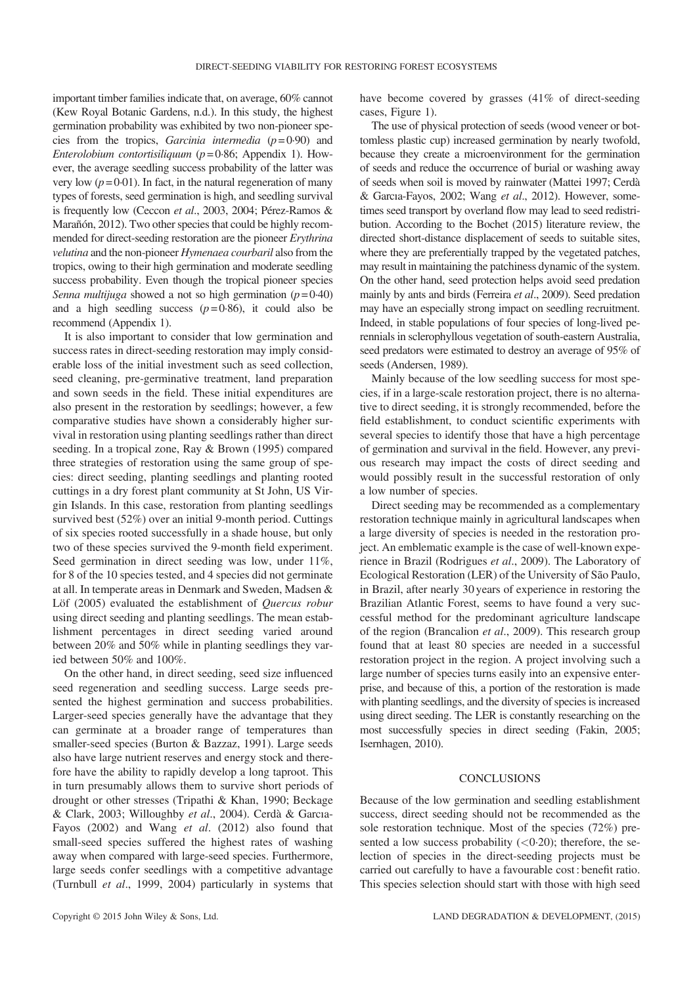important timber families indicate that, on average, 60% cannot (Kew Royal Botanic Gardens, n.d.). In this study, the highest germination probability was exhibited by two non-pioneer species from the tropics, Garcinia intermedia  $(p= 0.90)$  and Enterolobium contortisiliquum ( $p = 0.86$ ; Appendix 1). However, the average seedling success probability of the latter was very low  $(p= 0.01)$ . In fact, in the natural regeneration of many types of forests, seed germination is high, and seedling survival is frequently low (Ceccon et al., 2003, 2004; Pérez-Ramos & Marañón, 2012). Two other species that could be highly recommended for direct-seeding restoration are the pioneer Erythrina velutina and the non-pioneer Hymenaea courbaril also from the tropics, owing to their high germination and moderate seedling success probability. Even though the tropical pioneer species Senna multijuga showed a not so high germination  $(p= 0.40)$ and a high seedling success  $(p= 0.86)$ , it could also be recommend (Appendix 1).

It is also important to consider that low germination and success rates in direct-seeding restoration may imply considerable loss of the initial investment such as seed collection, seed cleaning, pre-germinative treatment, land preparation and sown seeds in the field. These initial expenditures are also present in the restoration by seedlings; however, a few comparative studies have shown a considerably higher survival in restoration using planting seedlings rather than direct seeding. In a tropical zone, Ray & Brown (1995) compared three strategies of restoration using the same group of species: direct seeding, planting seedlings and planting rooted cuttings in a dry forest plant community at St John, US Virgin Islands. In this case, restoration from planting seedlings survived best (52%) over an initial 9-month period. Cuttings of six species rooted successfully in a shade house, but only two of these species survived the 9-month field experiment. Seed germination in direct seeding was low, under 11%, for 8 of the 10 species tested, and 4 species did not germinate at all. In temperate areas in Denmark and Sweden, Madsen & Löf (2005) evaluated the establishment of Quercus robur using direct seeding and planting seedlings. The mean establishment percentages in direct seeding varied around between 20% and 50% while in planting seedlings they varied between 50% and 100%.

On the other hand, in direct seeding, seed size influenced seed regeneration and seedling success. Large seeds presented the highest germination and success probabilities. Larger-seed species generally have the advantage that they can germinate at a broader range of temperatures than smaller-seed species (Burton & Bazzaz, 1991). Large seeds also have large nutrient reserves and energy stock and therefore have the ability to rapidly develop a long taproot. This in turn presumably allows them to survive short periods of drought or other stresses (Tripathi & Khan, 1990; Beckage & Clark, 2003; Willoughby et al., 2004). Cerdà & Garcıa-Fayos (2002) and Wang et al. (2012) also found that small-seed species suffered the highest rates of washing away when compared with large-seed species. Furthermore, large seeds confer seedlings with a competitive advantage (Turnbull et al., 1999, 2004) particularly in systems that have become covered by grasses (41% of direct-seeding cases, Figure 1).

The use of physical protection of seeds (wood veneer or bottomless plastic cup) increased germination by nearly twofold, because they create a microenvironment for the germination of seeds and reduce the occurrence of burial or washing away of seeds when soil is moved by rainwater (Mattei 1997; Cerdà & Garcıa-Fayos, 2002; Wang et al., 2012). However, sometimes seed transport by overland flow may lead to seed redistribution. According to the Bochet (2015) literature review, the directed short-distance displacement of seeds to suitable sites, where they are preferentially trapped by the vegetated patches, may result in maintaining the patchiness dynamic of the system. On the other hand, seed protection helps avoid seed predation mainly by ants and birds (Ferreira et al., 2009). Seed predation may have an especially strong impact on seedling recruitment. Indeed, in stable populations of four species of long-lived perennials in sclerophyllous vegetation of south-eastern Australia, seed predators were estimated to destroy an average of 95% of seeds (Andersen, 1989).

Mainly because of the low seedling success for most species, if in a large-scale restoration project, there is no alternative to direct seeding, it is strongly recommended, before the field establishment, to conduct scientific experiments with several species to identify those that have a high percentage of germination and survival in the field. However, any previous research may impact the costs of direct seeding and would possibly result in the successful restoration of only a low number of species.

Direct seeding may be recommended as a complementary restoration technique mainly in agricultural landscapes when a large diversity of species is needed in the restoration project. An emblematic example is the case of well-known experience in Brazil (Rodrigues et al., 2009). The Laboratory of Ecological Restoration (LER) of the University of São Paulo, in Brazil, after nearly 30 years of experience in restoring the Brazilian Atlantic Forest, seems to have found a very successful method for the predominant agriculture landscape of the region (Brancalion et al., 2009). This research group found that at least 80 species are needed in a successful restoration project in the region. A project involving such a large number of species turns easily into an expensive enterprise, and because of this, a portion of the restoration is made with planting seedlings, and the diversity of species is increased using direct seeding. The LER is constantly researching on the most successfully species in direct seeding (Fakin, 2005; Isernhagen, 2010).

#### **CONCLUSIONS**

Because of the low germination and seedling establishment success, direct seeding should not be recommended as the sole restoration technique. Most of the species (72%) presented a low success probability  $( $0.20$ ); therefore, the se$ lection of species in the direct-seeding projects must be carried out carefully to have a favourable cost : benefit ratio. This species selection should start with those with high seed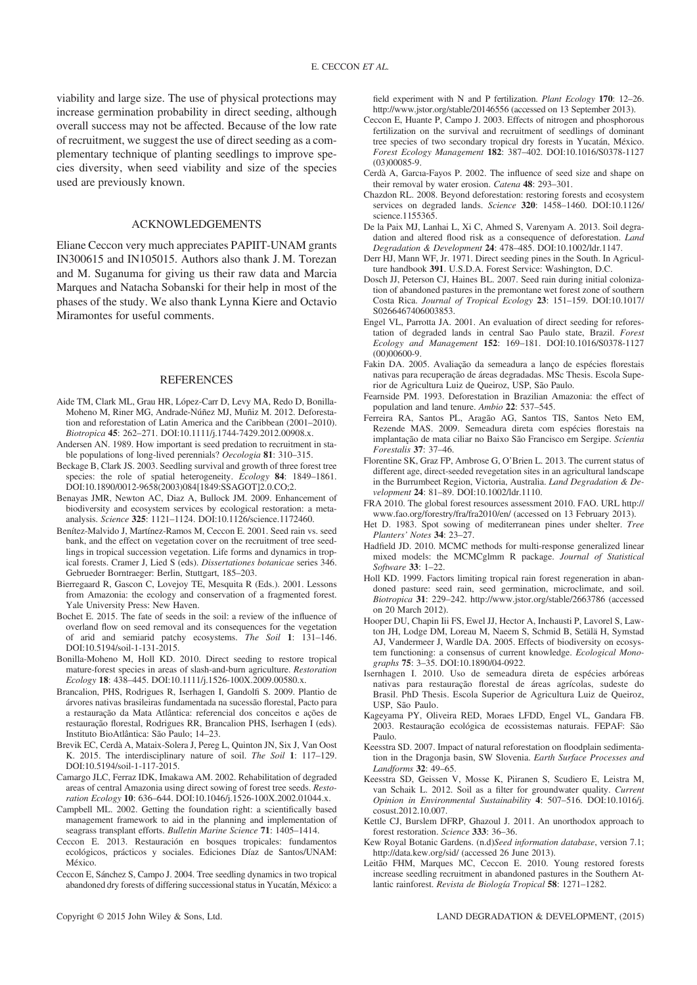viability and large size. The use of physical protections may increase germination probability in direct seeding, although overall success may not be affected. Because of the low rate of recruitment, we suggest the use of direct seeding as a complementary technique of planting seedlings to improve species diversity, when seed viability and size of the species used are previously known.

## ACKNOWLEDGEMENTS

Eliane Ceccon very much appreciates PAPIIT-UNAM grants IN300615 and IN105015. Authors also thank J. M. Torezan and M. Suganuma for giving us their raw data and Marcia Marques and Natacha Sobanski for their help in most of the phases of the study. We also thank Lynna Kiere and Octavio Miramontes for useful comments.

#### REFERENCES

- Aide TM, Clark ML, Grau HR, López-Carr D, Levy MA, Redo D, Bonilla-Moheno M, Riner MG, Andrade-Núñez MJ, Muñiz M. 2012. Deforestation and reforestation of Latin America and the Caribbean (2001–2010). Biotropica 45: 262–271. DOI:10.1111/j.1744-7429.2012.00908.x.
- Andersen AN. 1989. How important is seed predation to recruitment in stable populations of long-lived perennials? Oecologia 81: 310–315.
- Beckage B, Clark JS. 2003. Seedling survival and growth of three forest tree species: the role of spatial heterogeneity. *Ecology* 84: 1849–1861. DOI:10.1890/0012-9658(2003)084[1849:SSAGOT]2.0.CO;2.
- Benayas JMR, Newton AC, Diaz A, Bullock JM. 2009. Enhancement of biodiversity and ecosystem services by ecological restoration: a metaanalysis. Science 325: 1121–1124. DOI:10.1126/science.1172460.
- Benítez-Malvido J, Martínez-Ramos M, Ceccon E. 2001. Seed rain vs. seed bank, and the effect on vegetation cover on the recruitment of tree seedlings in tropical succession vegetation. Life forms and dynamics in tropical forests. Cramer J, Lied S (eds). Dissertationes botanicae series 346. Gebrueder Borntraeger: Berlin, Stuttgart, 185–203.
- Bierregaard R, Gascon C, Lovejoy TE, Mesquita R (Eds.). 2001. Lessons from Amazonia: the ecology and conservation of a fragmented forest. Yale University Press: New Haven.
- Bochet E. 2015. The fate of seeds in the soil: a review of the influence of overland flow on seed removal and its consequences for the vegetation of arid and semiarid patchy ecosystems. The Soil 1: 131–146. DOI:10.5194/soil-1-131-2015.
- Bonilla-Moheno M, Holl KD. 2010. Direct seeding to restore tropical mature-forest species in areas of slash-and-burn agriculture. Restoration Ecology 18: 438–445. DOI:10.1111/j.1526-100X.2009.00580.x.
- Brancalion, PHS, Rodrigues R, Iserhagen I, Gandolfi S. 2009. Plantio de árvores nativas brasileiras fundamentada na sucessão florestal, Pacto para a restauração da Mata Atlântica: referencial dos conceitos e ações de restauração florestal, Rodrigues RR, Brancalion PHS, Iserhagen I (eds). Instituto BioAtlântica: São Paulo; 14–23.
- Brevik EC, Cerdà A, Mataix-Solera J, Pereg L, Quinton JN, Six J, Van Oost K. 2015. The interdisciplinary nature of soil. The Soil 1: 117–129. DOI:10.5194/soil-1-117-2015.
- Camargo JLC, Ferraz IDK, Imakawa AM. 2002. Rehabilitation of degraded areas of central Amazonia using direct sowing of forest tree seeds. Restoration Ecology 10: 636–644. DOI:10.1046/j.1526-100X.2002.01044.x.
- Campbell ML. 2002. Getting the foundation right: a scientifically based management framework to aid in the planning and implementation of seagrass transplant efforts. Bulletin Marine Science 71: 1405–1414.
- Ceccon E. 2013. Restauración en bosques tropicales: fundamentos ecológicos, prácticos y sociales. Ediciones Díaz de Santos/UNAM: México.
- Ceccon E, Sánchez S, Campo J. 2004. Tree seedling dynamics in two tropical abandoned dry forests of differing successional status in Yucatán, México: a

field experiment with N and P fertilization. Plant Ecology 170: 12–26. <http://www.jstor.org/stable/20146556> (accessed on 13 September 2013).

- Ceccon E, Huante P, Campo J. 2003. Effects of nitrogen and phosphorous fertilization on the survival and recruitment of seedlings of dominant tree species of two secondary tropical dry forests in Yucatán, México. Forest Ecology Management 182: 387–402. DOI:10.1016/S0378-1127 (03)00085-9.
- Cerdà A, Garcıa-Fayos P. 2002. The influence of seed size and shape on their removal by water erosion. Catena 48: 293–301.
- Chazdon RL. 2008. Beyond deforestation: restoring forests and ecosystem services on degraded lands. Science 320: 1458–1460. DOI:10.1126/ science.1155365.
- De la Paix MJ, Lanhai L, Xi C, Ahmed S, Varenyam A. 2013. Soil degradation and altered flood risk as a consequence of deforestation. Land Degradation & Development 24: 478–485. DOI:10.1002/ldr.1147.
- Derr HJ, Mann WF, Jr. 1971. Direct seeding pines in the South. In Agriculture handbook 391. U.S.D.A. Forest Service: Washington, D.C.
- Dosch JJ, Peterson CJ, Haines BL. 2007. Seed rain during initial colonization of abandoned pastures in the premontane wet forest zone of southern Costa Rica. Journal of Tropical Ecology 23: 151–159. DOI:10.1017/ S0266467406003853.
- Engel VL, Parrotta JA. 2001. An evaluation of direct seeding for reforestation of degraded lands in central Sao Paulo state, Brazil. Forest Ecology and Management 152: 169–181. DOI:10.1016/S0378-1127 (00)00600-9.
- Fakin DA. 2005. Avaliação da semeadura a lanço de espécies florestais nativas para recuperação de áreas degradadas. MSc Thesis. Escola Superior de Agricultura Luiz de Queiroz, USP, São Paulo.
- Fearnside PM. 1993. Deforestation in Brazilian Amazonia: the effect of population and land tenure. Ambio 22: 537–545.
- Ferreira RA, Santos PL, Aragão AG, Santos TIS, Santos Neto EM, Rezende MAS. 2009. Semeadura direta com espécies florestais na implantação de mata ciliar no Baixo São Francisco em Sergipe. Scientia Forestalis 37: 37–46.
- Florentine SK, Graz FP, Ambrose G, O'Brien L. 2013. The current status of different age, direct-seeded revegetation sites in an agricultural landscape in the Burrumbeet Region, Victoria, Australia. Land Degradation & Development 24: 81–89. DOI:10.1002/ldr.1110.
- FRA 2010. The global forest resources assessment 2010. FAO. URL [http://](http://www.fao.org/forestry/fra/fra2010/en/) [www.fao.org/forestry/fra/fra2010/en/](http://www.fao.org/forestry/fra/fra2010/en/) (accessed on 13 February 2013).
- Het D. 1983. Spot sowing of mediterranean pines under shelter. Tree Planters' Notes 34: 23–27.
- Hadfield JD. 2010. MCMC methods for multi-response generalized linear mixed models: the MCMCglmm R package. Journal of Statistical Software 33: 1–22.
- Holl KD. 1999. Factors limiting tropical rain forest regeneration in abandoned pasture: seed rain, seed germination, microclimate, and soil. Biotropica 31: 229–242.<http://www.jstor.org/stable/2663786> (accessed on 20 March 2012).
- Hooper DU, Chapin Iii FS, Ewel JJ, Hector A, Inchausti P, Lavorel S, Lawton JH, Lodge DM, Loreau M, Naeem S, Schmid B, Setälä H, Symstad AJ, Vandermeer J, Wardle DA. 2005. Effects of biodiversity on ecosystem functioning: a consensus of current knowledge. Ecological Monographs 75: 3–35. DOI:10.1890/04-0922.
- Isernhagen I. 2010. Uso de semeadura direta de espécies arbóreas nativas para restauração florestal de áreas agrícolas, sudeste do Brasil. PhD Thesis. Escola Superior de Agricultura Luiz de Queiroz, USP, São Paulo.
- Kageyama PY, Oliveira RED, Moraes LFDD, Engel VL, Gandara FB. 2003. Restauração ecológica de ecossistemas naturais. FEPAF: São Paulo.
- Keesstra SD. 2007. Impact of natural reforestation on floodplain sedimentation in the Dragonja basin, SW Slovenia. Earth Surface Processes and Landforms 32: 49–65.
- Keesstra SD, Geissen V, Mosse K, Piiranen S, Scudiero E, Leistra M, van Schaik L. 2012. Soil as a filter for groundwater quality. Current Opinion in Environmental Sustainability 4: 507–516. DOI:10.1016/j. cosust.2012.10.007.
- Kettle CJ, Burslem DFRP, Ghazoul J. 2011. An unorthodox approach to forest restoration. Science 333: 36–36.
- Kew Royal Botanic Gardens. (n.d)Seed information database, version 7.1; <http://data.kew.org/sid/> (accessed 26 June 2013).
- Leitão FHM, Marques MC, Ceccon E. 2010. Young restored forests increase seedling recruitment in abandoned pastures in the Southern Atlantic rainforest. Revista de Biología Tropical 58: 1271–1282.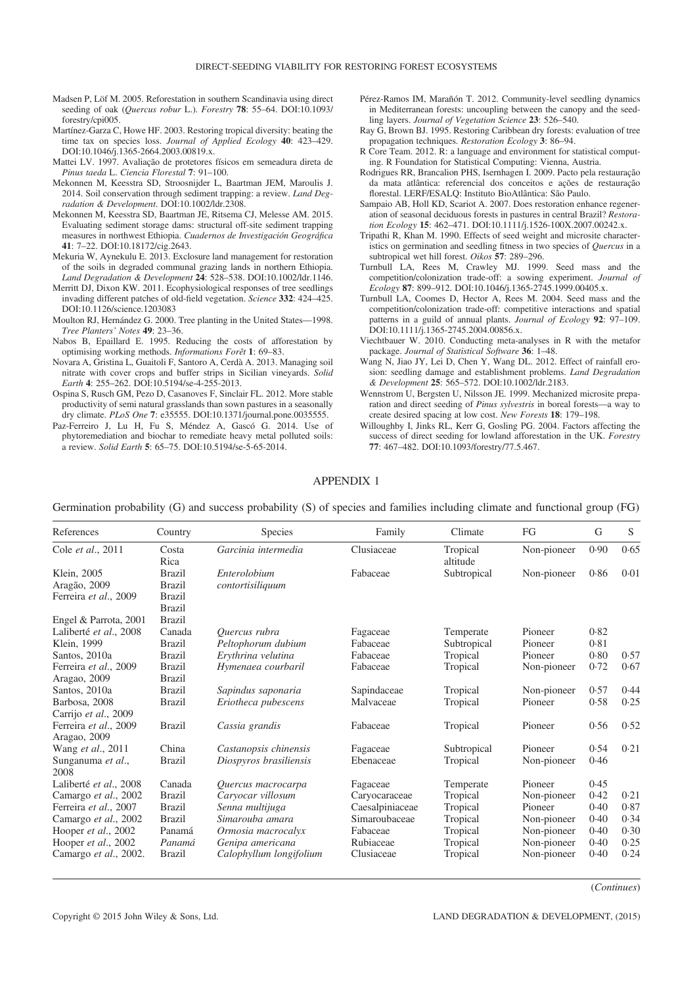- Madsen P, Löf M. 2005. Reforestation in southern Scandinavia using direct seeding of oak (Quercus robur L.). Forestry 78: 55-64. DOI:10.1093/ forestry/cpi005.
- Martínez-Garza C, Howe HF. 2003. Restoring tropical diversity: beating the time tax on species loss. Journal of Applied Ecology 40: 423-429. DOI:10.1046/j.1365-2664.2003.00819.x.
- Mattei LV. 1997. Avaliação de protetores físicos em semeadura direta de Pinus taeda L. Ciencia Florestal 7: 91–100.
- Mekonnen M, Keesstra SD, Stroosnijder L, Baartman JEM, Maroulis J. 2014. Soil conservation through sediment trapping: a review. Land Degradation & Development. DOI:10.1002/ldr.2308.
- Mekonnen M, Keesstra SD, Baartman JE, Ritsema CJ, Melesse AM. 2015. Evaluating sediment storage dams: structural off-site sediment trapping measures in northwest Ethiopia. Cuadernos de Investigación Geográfica 41: 7–22. DOI:10.18172/cig.2643.
- Mekuria W, Aynekulu E. 2013. Exclosure land management for restoration of the soils in degraded communal grazing lands in northern Ethiopia. Land Degradation & Development 24: 528–538. DOI:10.1002/ldr.1146.
- Merritt DJ, Dixon KW. 2011. Ecophysiological responses of tree seedlings invading different patches of old-field vegetation. Science 332: 424–425. DOI:10.1126/science.1203083
- Moulton RJ, Hernández G. 2000. Tree planting in the United States—1998. Tree Planters' Notes 49: 23–36.
- Nabos B, Epaillard E. 1995. Reducing the costs of afforestation by optimising working methods. Informations Forêt 1: 69–83.
- Novara A, Gristina L, Guaitoli F, Santoro A, Cerdà A. 2013. Managing soil nitrate with cover crops and buffer strips in Sicilian vineyards. Solid Earth 4: 255–262. DOI:10.5194/se-4-255-2013.
- Ospina S, Rusch GM, Pezo D, Casanoves F, Sinclair FL. 2012. More stable productivity of semi natural grasslands than sown pastures in a seasonally dry climate. PLoS One 7: e35555. DOI:10.1371/journal.pone.0035555.
- Paz-Ferreiro J, Lu H, Fu S, Méndez A, Gascó G. 2014. Use of phytoremediation and biochar to remediate heavy metal polluted soils: a review. Solid Earth 5: 65–75. DOI:10.5194/se-5-65-2014.
- Pérez-Ramos IM, Marañón T. 2012. Community-level seedling dynamics in Mediterranean forests: uncoupling between the canopy and the seedling layers. Journal of Vegetation Science 23: 526–540.
- Ray G, Brown BJ. 1995. Restoring Caribbean dry forests: evaluation of tree propagation techniques. Restoration Ecology 3: 86–94.
- R Core Team. 2012. R: a language and environment for statistical computing. R Foundation for Statistical Computing: Vienna, Austria.
- Rodrigues RR, Brancalion PHS, Isernhagen I. 2009. Pacto pela restauração da mata atlântica: referencial dos conceitos e ações de restauração florestal. LERF/ESALQ: Instituto BioAtlântica: São Paulo.
- Sampaio AB, Holl KD, Scariot A. 2007. Does restoration enhance regeneration of seasonal deciduous forests in pastures in central Brazil? Restoration Ecology 15: 462–471. DOI:10.1111/j.1526-100X.2007.00242.x.
- Tripathi R, Khan M. 1990. Effects of seed weight and microsite characteristics on germination and seedling fitness in two species of Quercus in a subtropical wet hill forest. Oikos 57: 289–296.
- Turnbull LA, Rees M, Crawley MJ. 1999. Seed mass and the competition/colonization trade-off: a sowing experiment. Journal of Ecology 87: 899–912. DOI:10.1046/j.1365-2745.1999.00405.x.
- Turnbull LA, Coomes D, Hector A, Rees M. 2004. Seed mass and the competition/colonization trade-off: competitive interactions and spatial patterns in a guild of annual plants. Journal of Ecology 92: 97-109. DOI:10.1111/j.1365-2745.2004.00856.x.
- Viechtbauer W. 2010. Conducting meta-analyses in R with the metafor package. Journal of Statistical Software 36: 1–48.
- Wang N, Jiao JY, Lei D, Chen Y, Wang DL. 2012. Effect of rainfall erosion: seedling damage and establishment problems. Land Degradation & Development 25: 565–572. DOI:10.1002/ldr.2183.
- Wennstrom U, Bergsten U, Nilsson JE. 1999. Mechanized microsite preparation and direct seeding of Pinus sylvestris in boreal forests—a way to create desired spacing at low cost. New Forests 18: 179–198.
- Willoughby I, Jinks RL, Kerr G, Gosling PG. 2004. Factors affecting the success of direct seeding for lowland afforestation in the UK. Forestry 77: 467–482. DOI:10.1093/forestry/77.5.467.

#### APPENDIX 1

Germination probability (G) and success probability (S) of species and families including climate and functional group (FG)

| References                            | Country                        | <b>Species</b>          | Family          | Climate              | FG          | G    | S    |
|---------------------------------------|--------------------------------|-------------------------|-----------------|----------------------|-------------|------|------|
| Cole et al., 2011                     | Costa<br>Rica                  | Garcinia intermedia     | Clusiaceae      | Tropical<br>altitude | Non-pioneer | 0.90 | 0.65 |
| Klein, 2005                           | <b>Brazil</b><br><b>Brazil</b> | Enterolobium            | Fabaceae        | Subtropical          | Non-pioneer | 0.86 | 0.01 |
| Aragão, 2009<br>Ferreira et al., 2009 | <b>Brazil</b><br><b>Brazil</b> | contortisiliquum        |                 |                      |             |      |      |
| Engel & Parrota, 2001                 | <b>Brazil</b>                  |                         |                 |                      |             |      |      |
| Laliberté et al., 2008                | Canada                         | Quercus rubra           | Fagaceae        | Temperate            | Pioneer     | 0.82 |      |
| Klein, 1999                           | <b>Brazil</b>                  | Peltophorum dubium      | Fabaceae        | Subtropical          | Pioneer     | 0.81 |      |
| Santos, 2010a                         | <b>Brazil</b>                  | Erythrina velutina      | Fabaceae        | Tropical             | Pioneer     | 0.80 | 0.57 |
| Ferreira et al., 2009<br>Aragao, 2009 | <b>Brazil</b><br><b>Brazil</b> | Hymenaea courbaril      | Fabaceae        | Tropical             | Non-pioneer | 0.72 | 0.67 |
| Santos, 2010a                         | <b>Brazil</b>                  | Sapindus saponaria      | Sapindaceae     | Tropical             | Non-pioneer | 0.57 | 0.44 |
| Barbosa, 2008<br>Carrijo et al., 2009 | <b>Brazil</b>                  | Eriotheca pubescens     | Malvaceae       | Tropical             | Pioneer     | 0.58 | 0.25 |
| Ferreira et al., 2009<br>Aragao, 2009 | <b>Brazil</b>                  | Cassia grandis          | Fabaceae        | Tropical             | Pioneer     | 0.56 | 0.52 |
| Wang <i>et al.</i> , 2011             | China                          | Castanopsis chinensis   | Fagaceae        | Subtropical          | Pioneer     | 0.54 | 0.21 |
| Sunganuma et al.,<br>2008             | <b>Brazil</b>                  | Diospyros brasiliensis  | Ebenaceae       | Tropical             | Non-pioneer | 0.46 |      |
| Laliberté et al., 2008                | Canada                         | Quercus macrocarpa      | Fagaceae        | Temperate            | Pioneer     | 0.45 |      |
| Camargo et al., 2002                  | <b>Brazil</b>                  | Caryocar villosum       | Caryocaraceae   | Tropical             | Non-pioneer | 0.42 | 0.21 |
| Ferreira et al., 2007                 | <b>Brazil</b>                  | Senna multijuga         | Caesalpiniaceae | Tropical             | Pioneer     | 0.40 | 0.87 |
| Camargo et al., 2002                  | <b>Brazil</b>                  | Simarouba amara         | Simaroubaceae   | Tropical             | Non-pioneer | 0.40 | 0.34 |
| Hooper et al., 2002                   | Panamá                         | Ormosia macrocalyx      | Fabaceae        | Tropical             | Non-pioneer | 0.40 | 0.30 |
| Hooper et al., 2002                   | Panamá                         | Genipa americana        | Rubiaceae       | Tropical             | Non-pioneer | 0.40 | 0.25 |
| Camargo et al., 2002.                 | <b>Brazil</b>                  | Calophyllum longifolium | Clusiaceae      | Tropical             | Non-pioneer | 0.40 | 0.24 |

(Continues)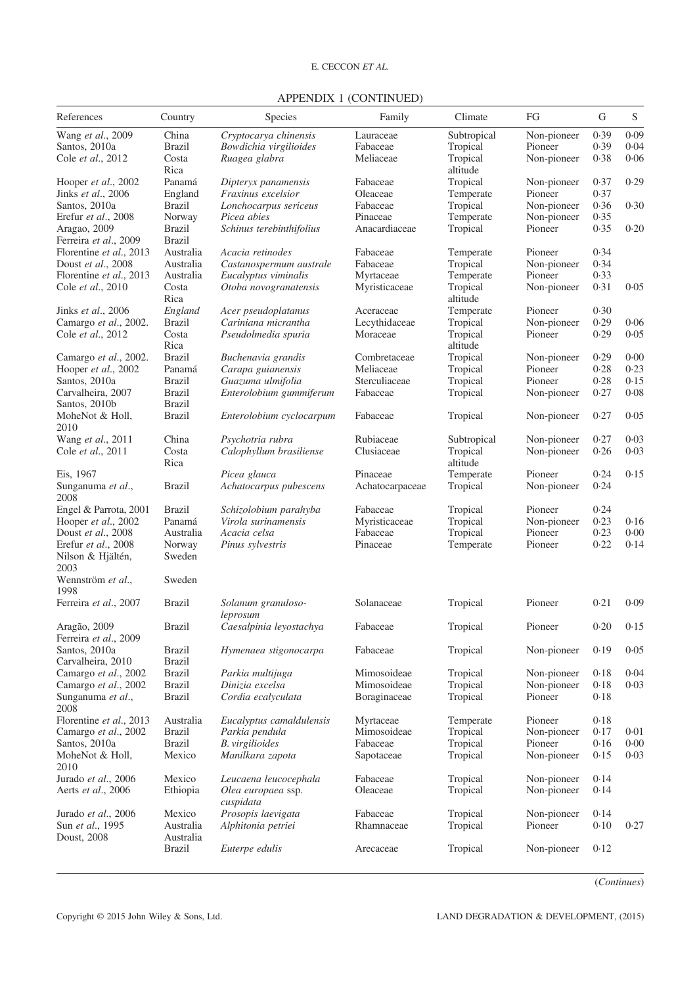## E. CECCON ET AL.

## APPENDIX 1 (CONTINUED)

| References                             | Country                        | Species                        | Family          | Climate              | FG          | ${\bf G}$ | ${\mathcal S}$ |
|----------------------------------------|--------------------------------|--------------------------------|-----------------|----------------------|-------------|-----------|----------------|
| Wang et al., 2009                      | China                          | Cryptocarya chinensis          | Lauraceae       | Subtropical          | Non-pioneer | 0.39      | 0.09           |
| Santos, 2010a                          | <b>Brazil</b>                  | Bowdichia virgilioides         | Fabaceae        | Tropical             | Pioneer     | 0.39      | 0.04           |
| Cole et al., 2012                      | Costa<br>Rica                  | Ruagea glabra                  | Meliaceae       | Tropical<br>altitude | Non-pioneer | 0.38      | 0.06           |
| Hooper et al., 2002                    | Panamá                         | Dipteryx panamensis            | Fabaceae        | Tropical             | Non-pioneer | 0.37      | 0.29           |
| Jinks et al., 2006                     | England                        | Fraxinus excelsior             | Oleaceae        | Temperate            | Pioneer     | 0.37      |                |
| Santos, 2010a                          | <b>Brazil</b>                  | Lonchocarpus sericeus          | Fabaceae        | Tropical             | Non-pioneer | 0.36      | 0.30           |
| Erefur <i>et al.</i> , 2008            | Norway                         | Picea abies                    | Pinaceae        | Temperate            | Non-pioneer | 0.35      |                |
| Aragao, 2009<br>Ferreira et al., 2009  | <b>Brazil</b><br><b>Brazil</b> | Schinus terebinthifolius       | Anacardiaceae   | Tropical             | Pioneer     | 0.35      | 0.20           |
| Florentine et al., 2013                | Australia                      | Acacia retinodes               | Fabaceae        | Temperate            | Pioneer     | 0.34      |                |
| Doust et al., 2008                     | Australia                      | Castanospermum australe        | Fabaceae        | Tropical             | Non-pioneer | 0.34      |                |
| Florentine et al., 2013                | Australia                      | Eucalyptus viminalis           | Myrtaceae       | Temperate            | Pioneer     | 0.33      |                |
| Cole et al., 2010                      | Costa<br>Rica                  | Otoba novogranatensis          | Myristicaceae   | Tropical<br>altitude | Non-pioneer | 0.31      | 0.05           |
| Jinks et al., 2006                     | England                        | Acer pseudoplatanus            | Aceraceae       | Temperate            | Pioneer     | 0.30      |                |
| Camargo et al., 2002.                  | <b>Brazil</b>                  | Cariniana micrantha            | Lecythidaceae   | Tropical             | Non-pioneer | 0.29      | 0.06           |
| Cole et al., 2012                      | Costa<br>Rica                  | Pseudolmedia spuria            | Moraceae        | Tropical<br>altitude | Pioneer     | 0.29      | 0.05           |
| Camargo et al., 2002.                  | <b>Brazil</b>                  | Buchenavia grandis             | Combretaceae    | Tropical             | Non-pioneer | 0.29      | 0.00           |
| Hooper et al., 2002                    | Panamá                         | Carapa guianensis              | Meliaceae       | Tropical             | Pioneer     | 0.28      | 0.23           |
| Santos, 2010a                          | <b>Brazil</b>                  | Guazuma ulmifolia              | Sterculiaceae   | Tropical             | Pioneer     | 0.28      | 0.15           |
| Carvalheira, 2007                      | <b>Brazil</b>                  | Enterolobium gummiferum        | Fabaceae        | Tropical             | Non-pioneer | 0.27      | 0.08           |
| Santos, 2010b<br>MoheNot & Holl,       | <b>Brazil</b><br><b>Brazil</b> | Enterolobium cyclocarpum       | Fabaceae        | Tropical             | Non-pioneer | 0.27      | 0.05           |
| 2010                                   |                                |                                |                 |                      |             |           |                |
| Wang et al., 2011                      | China                          | Psychotria rubra               | Rubiaceae       | Subtropical          | Non-pioneer | 0.27      | 0.03           |
| Cole et al., 2011                      | Costa<br>Rica                  | Calophyllum brasiliense        | Clusiaceae      | Tropical<br>altitude | Non-pioneer | 0.26      | 0.03           |
| Eis, 1967                              |                                | Picea glauca                   | Pinaceae        | Temperate            | Pioneer     | 0.24      | 0.15           |
| Sunganuma et al.,<br>2008              | <b>Brazil</b>                  | Achatocarpus pubescens         | Achatocarpaceae | Tropical             | Non-pioneer | 0.24      |                |
| Engel & Parrota, 2001                  | <b>Brazil</b>                  | Schizolobium parahyba          | Fabaceae        | Tropical             | Pioneer     | 0.24      |                |
| Hooper et al., 2002                    | Panamá                         | Virola surinamensis            | Myristicaceae   | Tropical             | Non-pioneer | 0.23      | 0.16           |
| Doust et al., 2008                     | Australia                      | Acacia celsa                   | Fabaceae        | Tropical             | Pioneer     | 0.23      | 0.00           |
| Erefur et al., 2008                    | Norway                         | Pinus sylvestris               | Pinaceae        | Temperate            | Pioneer     | 0.22      | 0.14           |
| Nilson & Hjältén,<br>2003              | Sweden                         |                                |                 |                      |             |           |                |
| Wennström et al.,<br>1998              | Sweden                         |                                |                 |                      |             |           |                |
| Ferreira et al., 2007                  | <b>Brazil</b>                  | Solanum granuloso-<br>leprosum | Solanaceae      | Tropical             | Pioneer     | 0.21      | 0.09           |
| Aragão, 2009                           | <b>Brazil</b>                  | Caesalpinia leyostachya        | Fabaceae        | Tropical             | Pioneer     | 0.20      | 0.15           |
| Ferreira et al., 2009<br>Santos, 2010a | <b>Brazil</b>                  | Hymenaea stigonocarpa          | Fabaceae        | Tropical             | Non-pioneer | 0.19      | 0.05           |
| Carvalheira, 2010                      | <b>Brazil</b>                  |                                |                 |                      |             |           |                |
| Camargo et al., 2002                   | <b>Brazil</b>                  | Parkia multijuga               | Mimosoideae     | Tropical             | Non-pioneer | 0.18      | 0.04           |
| Camargo et al., 2002                   | <b>Brazil</b>                  | Dinizia excelsa                | Mimosoideae     | Tropical             | Non-pioneer | 0.18      | 0.03           |
| Sunganuma et al.,<br>2008              | <b>Brazil</b>                  | Cordia ecalyculata             | Boraginaceae    | Tropical             | Pioneer     | 0.18      |                |
| Florentine et al., 2013                | Australia                      | Eucalyptus camaldulensis       | Myrtaceae       | Temperate            | Pioneer     | 0.18      |                |
| Camargo et al., 2002                   | <b>Brazil</b>                  | Parkia pendula                 | Mimosoideae     | Tropical             | Non-pioneer | 0.17      | 0.01           |
| Santos, 2010a                          | <b>Brazil</b>                  | <b>B.</b> virgilioides         | Fabaceae        | Tropical             | Pioneer     | 0.16      | 0.00           |
| MoheNot & Holl,<br>2010                | Mexico                         | Manilkara zapota               | Sapotaceae      | Tropical             | Non-pioneer | 0.15      | 0.03           |
| Jurado et al., 2006                    | Mexico                         | Leucaena leucocephala          | Fabaceae        | Tropical             | Non-pioneer | 0.14      |                |
| Aerts et al., 2006                     | Ethiopia                       | Olea europaea ssp.             | Oleaceae        | Tropical             | Non-pioneer | 0.14      |                |
|                                        |                                | cuspidata                      |                 |                      |             |           |                |
| Jurado et al., 2006                    | Mexico                         | Prosopis laevigata             | Fabaceae        | Tropical             | Non-pioneer | 0.14      |                |
| Sun et al., 1995                       | Australia                      | Alphitonia petriei             | Rhamnaceae      | Tropical             | Pioneer     | 0.10      | 0.27           |
| Doust, 2008                            | Australia<br><b>Brazil</b>     | Euterpe edulis                 | Arecaceae       | Tropical             | Non-pioneer | 0.12      |                |
|                                        |                                |                                |                 |                      |             |           |                |

(Continues)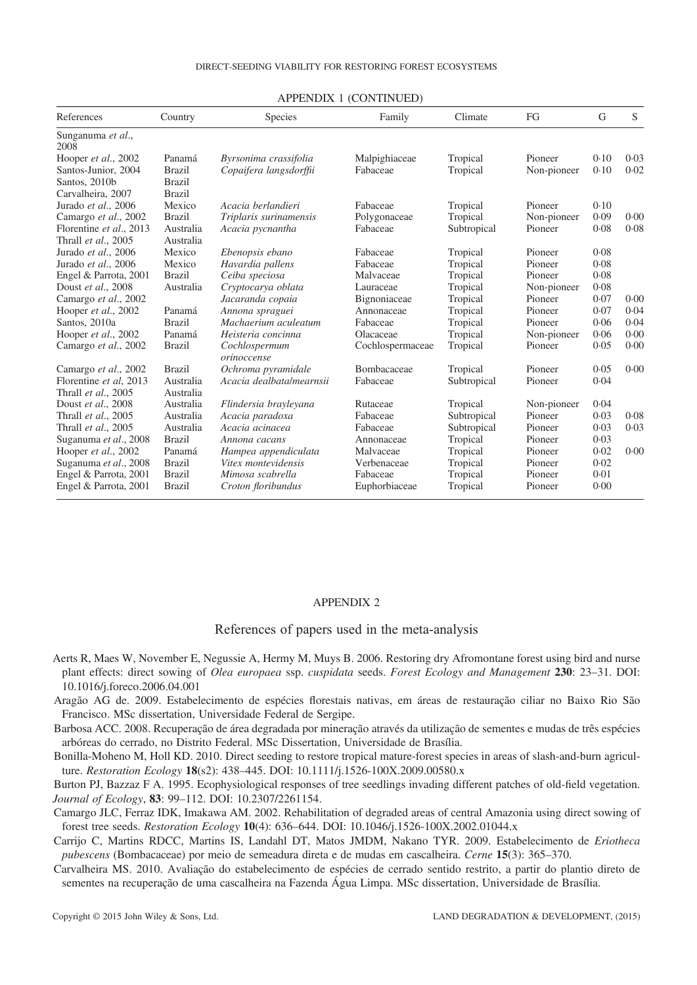#### DIRECT-SEEDING VIABILITY FOR RESTORING FOREST ECOSYSTEMS

| References                | Country       | <b>Species</b>           | Family             | Climate     | FG          | G    | S    |
|---------------------------|---------------|--------------------------|--------------------|-------------|-------------|------|------|
| Sunganuma et al.,<br>2008 |               |                          |                    |             |             |      |      |
| Hooper et al., 2002       | Panamá        | Byrsonima crassifolia    | Malpighiaceae      | Tropical    | Pioneer     | 0.10 | 0.03 |
| Santos-Junior, 2004       | <b>Brazil</b> | Copaifera langsdorffii   | Fabaceae           | Tropical    | Non-pioneer | 0.10 | 0.02 |
| Santos, 2010b             | <b>Brazil</b> |                          |                    |             |             |      |      |
| Carvalheira, 2007         | <b>Brazil</b> |                          |                    |             |             |      |      |
| Jurado et al., 2006       | Mexico        | Acacia berlandieri       | Fabaceae           | Tropical    | Pioneer     | 0.10 |      |
| Camargo et al., 2002      | <b>Brazil</b> | Triplaris surinamensis   | Polygonaceae       | Tropical    | Non-pioneer | 0.09 | 0.00 |
| Florentine et al., 2013   | Australia     | Acacia pycnantha         | Fabaceae           | Subtropical | Pioneer     | 0.08 | 0.08 |
| Thrall et al., 2005       | Australia     |                          |                    |             |             |      |      |
| Jurado et al., 2006       | Mexico        | Ebenopsis ebano          | Fabaceae           | Tropical    | Pioneer     | 0.08 |      |
| Jurado et al., 2006       | Mexico        | Havardia pallens         | Fabaceae           | Tropical    | Pioneer     | 0.08 |      |
| Engel & Parrota, 2001     | <b>Brazil</b> | Ceiba speciosa           | Malvaceae          | Tropical    | Pioneer     | 0.08 |      |
| Doust et al., 2008        | Australia     | Cryptocarya oblata       | Lauraceae          | Tropical    | Non-pioneer | 0.08 |      |
| Camargo et al., 2002      |               | Jacaranda copaia         | Bignoniaceae       | Tropical    | Pioneer     | 0.07 | 0.00 |
| Hooper et al., 2002       | Panamá        | Annona spraguei          | Annonaceae         | Tropical    | Pioneer     | 0.07 | 0.04 |
| Santos, 2010a             | <b>Brazil</b> | Machaerium aculeatum     | Fabaceae           | Tropical    | Pioneer     | 0.06 | 0.04 |
| Hooper et al., 2002       | Panamá        | Heisteria concinna       | Olacaceae          | Tropical    | Non-pioneer | 0.06 | 0.00 |
| Camargo et al., 2002      | <b>Brazil</b> | Cochlospermum            | Cochlospermaceae   | Tropical    | Pioneer     | 0.05 | 0.00 |
|                           |               | orinoccense              |                    |             |             |      |      |
| Camargo et al., 2002      | <b>Brazil</b> | Ochroma pyramidale       | <b>Bombacaceae</b> | Tropical    | Pioneer     | 0.05 | 0.00 |
| Florentine et al, 2013    | Australia     | Acacia dealbatalmearnsii | Fabaceae           | Subtropical | Pioneer     | 0.04 |      |
| Thrall et al., 2005       | Australia     |                          |                    |             |             |      |      |
| Doust et al., 2008        | Australia     | Flindersia brayleyana    | Rutaceae           | Tropical    | Non-pioneer | 0.04 |      |
| Thrall et al., 2005       | Australia     | Acacia paradoxa          | Fabaceae           | Subtropical | Pioneer     | 0.03 | 0.08 |
| Thrall et al., 2005       | Australia     | Acacia acinacea          | Fabaceae           | Subtropical | Pioneer     | 0.03 | 0.03 |
| Suganuma et al., 2008     | <b>Brazil</b> | Annona cacans            | Annonaceae         | Tropical    | Pioneer     | 0.03 |      |
| Hooper et al., 2002       | Panamá        | Hampea appendiculata     | Malvaceae          | Tropical    | Pioneer     | 0.02 | 0.00 |
| Suganuma et al., 2008     | <b>Brazil</b> | Vitex montevidensis      | Verbenaceae        | Tropical    | Pioneer     | 0.02 |      |
| Engel & Parrota, 2001     | <b>Brazil</b> | Mimosa scabrella         | Fabaceae           | Tropical    | Pioneer     | 0.01 |      |
| Engel & Parrota, 2001     | <b>Brazil</b> | Croton floribundus       | Euphorbiaceae      | Tropical    | Pioneer     | 0.00 |      |

#### APPENDIX 1 (CONTINUED)

## APPENDIX 2

## References of papers used in the meta-analysis

- Aerts R, Maes W, November E, Negussie A, Hermy M, Muys B. 2006. Restoring dry Afromontane forest using bird and nurse plant effects: direct sowing of Olea europaea ssp. cuspidata seeds. Forest Ecology and Management 230: 23–31. DOI: 10.1016/j.foreco.2006.04.001
- Aragão AG de. 2009. Estabelecimento de espécies florestais nativas, em áreas de restauração ciliar no Baixo Rio São Francisco. MSc dissertation, Universidade Federal de Sergipe.
- Barbosa ACC. 2008. Recuperação de área degradada por mineração através da utilização de sementes e mudas de três espécies arbóreas do cerrado, no Distrito Federal. MSc Dissertation, Universidade de Brasília.
- Bonilla-Moheno M, Holl KD. 2010. Direct seeding to restore tropical mature-forest species in areas of slash-and-burn agriculture. Restoration Ecology 18(s2): 438–445. DOI: 10.1111/j.1526-100X.2009.00580.x

Burton PJ, Bazzaz F A. 1995. Ecophysiological responses of tree seedlings invading different patches of old-field vegetation. Journal of Ecology, 83: 99–112. DOI: 10.2307/2261154.

- Camargo JLC, Ferraz IDK, Imakawa AM. 2002. Rehabilitation of degraded areas of central Amazonia using direct sowing of forest tree seeds. Restoration Ecology 10(4): 636–644. DOI: 10.1046/j.1526-100X.2002.01044.x
- Carrijo C, Martins RDCC, Martins IS, Landahl DT, Matos JMDM, Nakano TYR. 2009. Estabelecimento de Eriotheca pubescens (Bombacaceae) por meio de semeadura direta e de mudas em cascalheira. Cerne 15(3): 365–370.
- Carvalheira MS. 2010. Avaliação do estabelecimento de espécies de cerrado sentido restrito, a partir do plantio direto de sementes na recuperação de uma cascalheira na Fazenda Água Limpa. MSc dissertation, Universidade de Brasília.